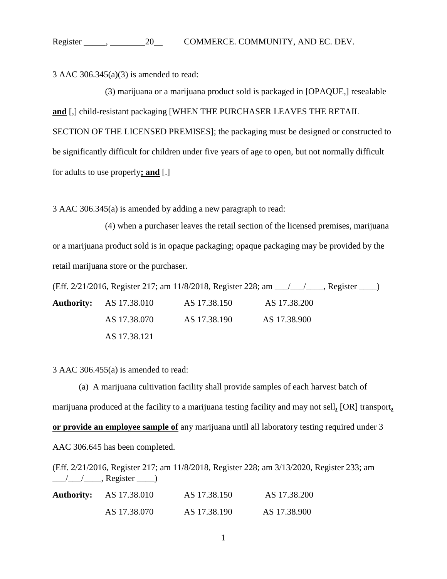3 AAC 306.345(a)(3) is amended to read:

(3) marijuana or a marijuana product sold is packaged in [OPAQUE,] resealable **and** [,] child-resistant packaging [WHEN THE PURCHASER LEAVES THE RETAIL SECTION OF THE LICENSED PREMISES]; the packaging must be designed or constructed to be significantly difficult for children under five years of age to open, but not normally difficult for adults to use properly**; and** [.]

3 AAC 306.345(a) is amended by adding a new paragraph to read:

(4) when a purchaser leaves the retail section of the licensed premises, marijuana or a marijuana product sold is in opaque packaging; opaque packaging may be provided by the retail marijuana store or the purchaser.

(Eff. 2/21/2016, Register 217; am 11/8/2018, Register 228; am \_\_\_/\_\_\_/\_\_\_\_, Register \_\_\_\_) **Authority:** AS 17.38.010 AS 17.38.150 AS 17.38.200 AS 17.38.070 AS 17.38.190 AS 17.38.900 AS 17.38.121

3 AAC 306.455(a) is amended to read:

(a) A marijuana cultivation facility shall provide samples of each harvest batch of marijuana produced at the facility to a marijuana testing facility and may not sell**,** [OR] transport**, or provide an employee sample of** any marijuana until all laboratory testing required under 3 AAC 306.645 has been completed.

(Eff. 2/21/2016, Register 217; am 11/8/2018, Register 228; am 3/13/2020, Register 233; am  $\frac{1}{\sqrt{2}}$ , Register  $\frac{1}{\sqrt{2}}$ 

| <b>Authority:</b> AS 17.38.010 | AS 17.38.150 | AS 17.38.200 |
|--------------------------------|--------------|--------------|
| AS 17.38.070                   | AS 17.38.190 | AS 17.38.900 |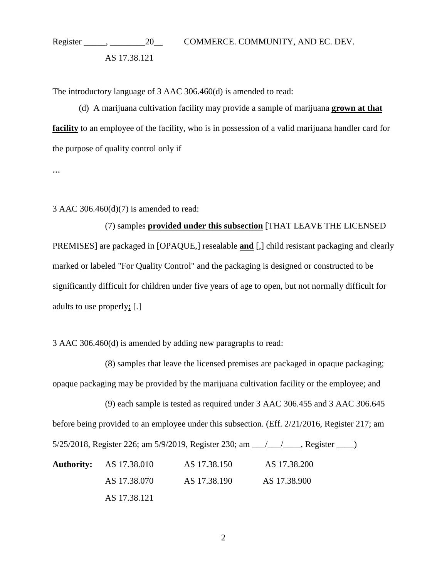Register \_\_\_\_\_, \_\_\_\_\_\_\_\_20\_\_ COMMERCE. COMMUNITY, AND EC. DEV. AS 17.38.121

The introductory language of 3 AAC 306.460(d) is amended to read:

(d) A marijuana cultivation facility may provide a sample of marijuana **grown at that facility** to an employee of the facility, who is in possession of a valid marijuana handler card for the purpose of quality control only if

...

3 AAC 306.460(d)(7) is amended to read:

(7) samples **provided under this subsection** [THAT LEAVE THE LICENSED PREMISES] are packaged in [OPAQUE,] resealable **and** [,] child resistant packaging and clearly marked or labeled "For Quality Control" and the packaging is designed or constructed to be significantly difficult for children under five years of age to open, but not normally difficult for adults to use properly**;** [.]

3 AAC 306.460(d) is amended by adding new paragraphs to read:

(8) samples that leave the licensed premises are packaged in opaque packaging; opaque packaging may be provided by the marijuana cultivation facility or the employee; and

(9) each sample is tested as required under 3 AAC 306.455 and 3 AAC 306.645 before being provided to an employee under this subsection. (Eff. 2/21/2016, Register 217; am 5/25/2018, Register 226; am 5/9/2019, Register 230; am \_\_\_/\_\_\_/\_\_\_\_, Register \_\_\_\_)

**Authority:** AS 17.38.010 AS 17.38.150 AS 17.38.200 AS 17.38.070 AS 17.38.190 AS 17.38.900 AS 17.38.121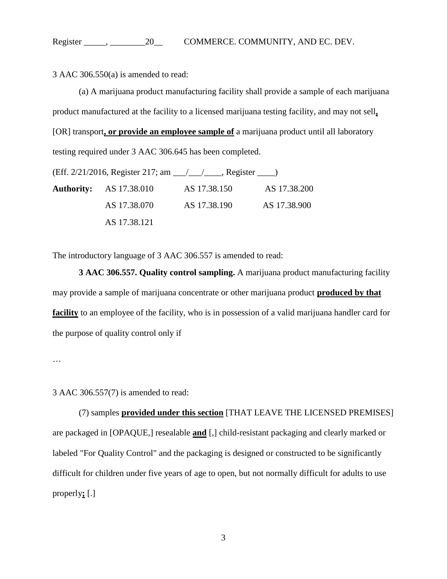3 AAC 306.550(a) is amended to read:

(a) A marijuana product manufacturing facility shall provide a sample of each marijuana product manufactured at the facility to a licensed marijuana testing facility, and may not sell**,** [OR] transport**, or provide an employee sample of** a marijuana product until all laboratory testing required under 3 AAC 306.645 has been completed.

(Eff. 2/21/2016, Register 217; am \_\_\_/\_\_\_/\_\_\_\_, Register \_\_\_\_) **Authority:** AS 17.38.010 AS 17.38.150 AS 17.38.200 AS 17.38.070 AS 17.38.190 AS 17.38.900 AS 17.38.121

The introductory language of 3 AAC 306.557 is amended to read:

**3 AAC 306.557. Quality control sampling.** A marijuana product manufacturing facility may provide a sample of marijuana concentrate or other marijuana product **produced by that facility** to an employee of the facility, who is in possession of a valid marijuana handler card for the purpose of quality control only if

…

3 AAC 306.557(7) is amended to read:

(7) samples **provided under this section** [THAT LEAVE THE LICENSED PREMISES] are packaged in [OPAQUE,] resealable **and** [,] child-resistant packaging and clearly marked or labeled "For Quality Control" and the packaging is designed or constructed to be significantly difficult for children under five years of age to open, but not normally difficult for adults to use properly**;** [.]